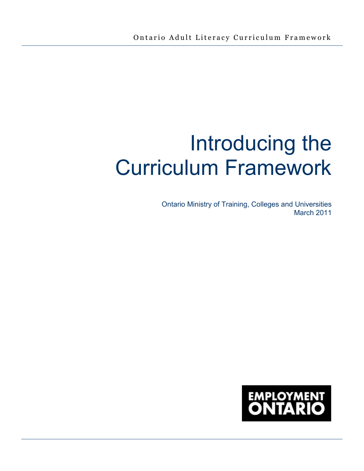# Introducing the Curriculum Framework

Ontario Ministry of Training, Colleges and Universities March 2011

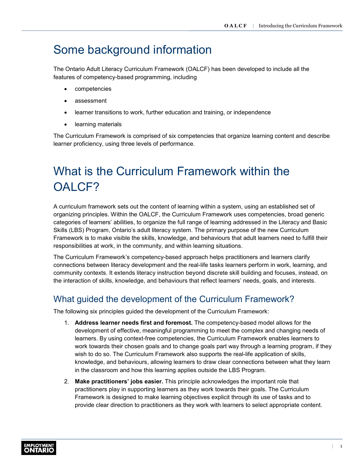# Some background information

The Ontario Adult Literacy Curriculum Framework (OALCF) has been developed to include all the features of competency-based programming, including

- competencies
- assessment
- learner transitions to work, further education and training, or independence
- learning materials

The Curriculum Framework is comprised of six competencies that organize learning content and describe learner proficiency, using three levels of performance.

# What is the Curriculum Framework within the OALCF?

A curriculum framework sets out the content of learning within a system, using an established set of organizing principles. Within the OALCF, the Curriculum Framework uses competencies, broad generic categories of learners' abilities, to organize the full range of learning addressed in the Literacy and Basic Skills (LBS) Program, Ontario's adult literacy system. The primary purpose of the new Curriculum Framework is to make visible the skills, knowledge, and behaviours that adult learners need to fulfill their responsibilities at work, in the community, and within learning situations.

The Curriculum Framework's competency-based approach helps practitioners and learners clarify connections between literacy development and the real-life tasks learners perform in work, learning, and community contexts. It extends literacy instruction beyond discrete skill building and focuses, instead, on the interaction of skills, knowledge, and behaviours that reflect learners' needs, goals, and interests.

# What guided the development of the Curriculum Framework?

The following six principles guided the development of the Curriculum Framework:

- 1. **Address learner needs first and foremost.** The competency-based model allows for the development of effective, meaningful programming to meet the complex and changing needs of learners. By using context-free competencies, the Curriculum Framework enables learners to work towards their chosen goals and to change goals part way through a learning program, if they wish to do so. The Curriculum Framework also supports the real-life application of skills, knowledge, and behaviours, allowing learners to draw clear connections between what they learn in the classroom and how this learning applies outside the LBS Program.
- 2. **Make practitioners' jobs easier.** This principle acknowledges the important role that practitioners play in supporting learners as they work towards their goals. The Curriculum Framework is designed to make learning objectives explicit through its use of tasks and to provide clear direction to practitioners as they work with learners to select appropriate content.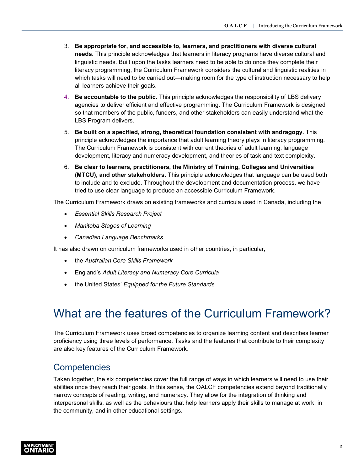- 3. **Be appropriate for, and accessible to, learners, and practitioners with diverse cultural needs.** This principle acknowledges that learners in literacy programs have diverse cultural and linguistic needs. Built upon the tasks learners need to be able to do once they complete their literacy programming, the Curriculum Framework considers the cultural and linguistic realities in which tasks will need to be carried out—making room for the type of instruction necessary to help all learners achieve their goals.
- 4. **Be accountable to the public.** This principle acknowledges the responsibility of LBS delivery agencies to deliver efficient and effective programming. The Curriculum Framework is designed so that members of the public, funders, and other stakeholders can easily understand what the LBS Program delivers.
- 5. **Be built on a specified, strong, theoretical foundation consistent with andragogy.** This principle acknowledges the importance that adult learning theory plays in literacy programming. The Curriculum Framework is consistent with current theories of adult learning, language development, literacy and numeracy development, and theories of task and text complexity.
- 6. **Be clear to learners, practitioners, the Ministry of Training, Colleges and Universities (MTCU), and other stakeholders.** This principle acknowledges that language can be used both to include and to exclude. Throughout the development and documentation process, we have tried to use clear language to produce an accessible Curriculum Framework.

The Curriculum Framework draws on existing frameworks and curricula used in Canada, including the

- *Essential Skills Research Project*
- *Manitoba Stages of Learning*
- *Canadian Language Benchmarks*

It has also drawn on curriculum frameworks used in other countries, in particular,

- the *Australian Core Skills Framework*
- England's *Adult Literacy and Numeracy Core Curricula*
- the United States' *Equipped for the Future Standards*

# What are the features of the Curriculum Framework?

The Curriculum Framework uses broad competencies to organize learning content and describes learner proficiency using three levels of performance. Tasks and the features that contribute to their complexity are also key features of the Curriculum Framework.

# **Competencies**

Taken together, the six competencies cover the full range of ways in which learners will need to use their abilities once they reach their goals. In this sense, the OALCF competencies extend beyond traditionally narrow concepts of reading, writing, and numeracy. They allow for the integration of thinking and interpersonal skills, as well as the behaviours that help learners apply their skills to manage at work, in the community, and in other educational settings.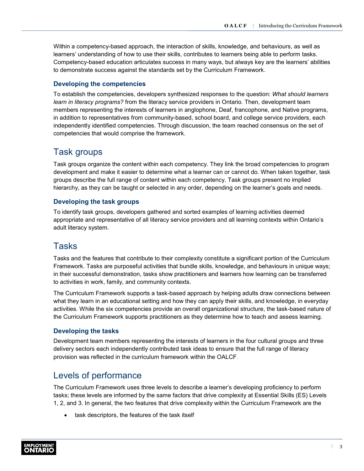Within a competency-based approach, the interaction of skills, knowledge, and behaviours, as well as learners' understanding of how to use their skills, contributes to learners being able to perform tasks. Competency-based education articulates success in many ways, but always key are the learners' abilities to demonstrate success against the standards set by the Curriculum Framework.

### **Developing the competencies**

To establish the competencies, developers synthesized responses to the question: *What should learners learn in literacy programs?* from the literacy service providers in Ontario. Then, development team members representing the interests of learners in anglophone, Deaf, francophone, and Native programs, in addition to representatives from community-based, school board, and college service providers, each independently identified competencies. Through discussion, the team reached consensus on the set of competencies that would comprise the framework.

### Task groups

Task groups organize the content within each competency. They link the broad competencies to program development and make it easier to determine what a learner can or cannot do. When taken together, task groups describe the full range of content within each competency. Task groups present no implied hierarchy, as they can be taught or selected in any order, depending on the learner's goals and needs.

### **Developing the task groups**

To identify task groups, developers gathered and sorted examples of learning activities deemed appropriate and representative of all literacy service providers and all learning contexts within Ontario's adult literacy system.

### Tasks

Tasks and the features that contribute to their complexity constitute a significant portion of the Curriculum Framework. Tasks are purposeful activities that bundle skills, knowledge, and behaviours in unique ways; in their successful demonstration, tasks show practitioners and learners how learning can be transferred to activities in work, family, and community contexts.

The Curriculum Framework supports a task-based approach by helping adults draw connections between what they learn in an educational setting and how they can apply their skills, and knowledge, in everyday activities. While the six competencies provide an overall organizational structure, the task-based nature of the Curriculum Framework supports practitioners as they determine how to teach and assess learning.

### **Developing the tasks**

Development team members representing the interests of learners in the four cultural groups and three delivery sectors each independently contributed task ideas to ensure that the full range of literacy provision was reflected in the curriculum framework within the OALCF.

# Levels of performance

The Curriculum Framework uses three levels to describe a learner's developing proficiency to perform tasks; these levels are informed by the same factors that drive complexity at Essential Skills (ES) Levels 1, 2, and 3. In general, the two features that drive complexity within the Curriculum Framework are the

task descriptors, the features of the task itself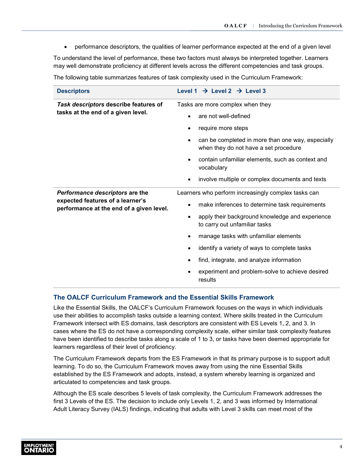• performance descriptors, the qualities of learner performance expected at the end of a given level

To understand the level of performance, these two factors must always be interpreted together. Learners may well demonstrate proficiency at different levels across the different competencies and task groups.

| <b>Descriptors</b>                                                           | $\rightarrow$ Level 2 $\rightarrow$ Level 3<br>Level 1                                     |  |  |
|------------------------------------------------------------------------------|--------------------------------------------------------------------------------------------|--|--|
| Task descriptors describe features of                                        | Tasks are more complex when they                                                           |  |  |
| tasks at the end of a given level.                                           | are not well-defined                                                                       |  |  |
|                                                                              | require more steps                                                                         |  |  |
|                                                                              | can be completed in more than one way, especially<br>when they do not have a set procedure |  |  |
|                                                                              | contain unfamiliar elements, such as context and<br>$\bullet$<br>vocabulary                |  |  |
|                                                                              | involve multiple or complex documents and texts<br>$\bullet$                               |  |  |
| Performance descriptors are the                                              | Learners who perform increasingly complex tasks can                                        |  |  |
| expected features of a learner's<br>performance at the end of a given level. | make inferences to determine task requirements<br>٠                                        |  |  |
|                                                                              | apply their background knowledge and experience<br>to carry out unfamiliar tasks           |  |  |
|                                                                              | manage tasks with unfamiliar elements<br>٠                                                 |  |  |
|                                                                              | identify a variety of ways to complete tasks                                               |  |  |
|                                                                              | find, integrate, and analyze information                                                   |  |  |
|                                                                              | experiment and problem-solve to achieve desired<br>results                                 |  |  |

The following table summarizes features of task complexity used in the Curriculum Framework:

### **The OALCF Curriculum Framework and the Essential Skills Framework**

Like the Essential Skills, the OALCF's Curriculum Framework focuses on the ways in which individuals use their abilities to accomplish tasks outside a learning context. Where skills treated in the Curriculum Framework intersect with ES domains, task descriptors are consistent with ES Levels 1, 2, and 3. In cases where the ES do not have a corresponding complexity scale, either similar task complexity features have been identified to describe tasks along a scale of 1 to 3, or tasks have been deemed appropriate for learners regardless of their level of proficiency.

The Curriculum Framework departs from the ES Framework in that its primary purpose is to support adult learning. To do so, the Curriculum Framework moves away from using the nine Essential Skills established by the ES Framework and adopts, instead, a system whereby learning is organized and articulated to competencies and task groups.

Although the ES scale describes 5 levels of task complexity, the Curriculum Framework addresses the first 3 Levels of the ES. The decision to include only Levels 1, 2, and 3 was informed by International Adult Literacy Survey (IALS) findings, indicating that adults with Level 3 skills can meet most of the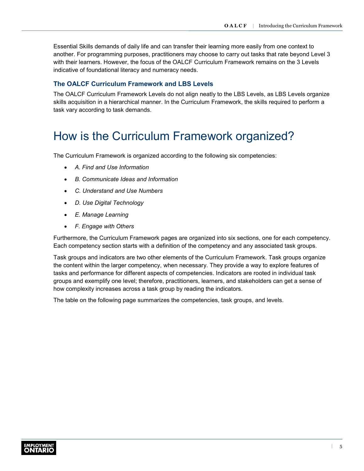Essential Skills demands of daily life and can transfer their learning more easily from one context to another. For programming purposes, practitioners may choose to carry out tasks that rate beyond Level 3 with their learners. However, the focus of the OALCF Curriculum Framework remains on the 3 Levels indicative of foundational literacy and numeracy needs.

#### **The OALCF Curriculum Framework and LBS Levels**

The OALCF Curriculum Framework Levels do not align neatly to the LBS Levels, as LBS Levels organize skills acquisition in a hierarchical manner. In the Curriculum Framework, the skills required to perform a task vary according to task demands.

# How is the Curriculum Framework organized?

The Curriculum Framework is organized according to the following six competencies:

- *A. Find and Use Information*
- *B. Communicate Ideas and Information*
- *C. Understand and Use Numbers*
- *D. Use Digital Technology*
- *E. Manage Learning*
- *F. Engage with Others*

Furthermore, the Curriculum Framework pages are organized into six sections, one for each competency. Each competency section starts with a definition of the competency and any associated task groups.

Task groups and indicators are two other elements of the Curriculum Framework. Task groups organize the content within the larger competency, when necessary. They provide a way to explore features of tasks and performance for different aspects of competencies. Indicators are rooted in individual task groups and exemplify one level; therefore, practitioners, learners, and stakeholders can get a sense of how complexity increases across a task group by reading the indicators.

The table on the following page summarizes the competencies, task groups, and levels.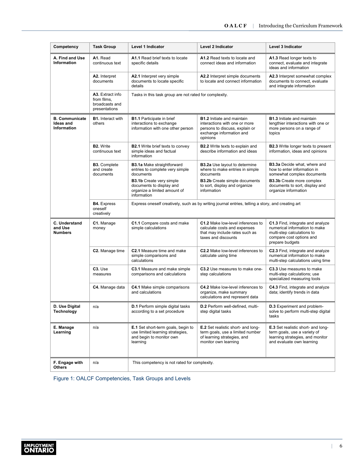| Competency                                        | <b>Task Group</b>                                                                                                                                | Level 1 Indicator                                                                                                                                                                                                                                                                                                 | <b>Level 2 Indicator</b>                                                                                                                                             | Level 3 Indicator                                                                                                                                                      |  |  |
|---------------------------------------------------|--------------------------------------------------------------------------------------------------------------------------------------------------|-------------------------------------------------------------------------------------------------------------------------------------------------------------------------------------------------------------------------------------------------------------------------------------------------------------------|----------------------------------------------------------------------------------------------------------------------------------------------------------------------|------------------------------------------------------------------------------------------------------------------------------------------------------------------------|--|--|
| A. Find and Use<br>Information                    | A1. Read<br>continuous text                                                                                                                      | A1.1 Read brief texts to locate<br>specific details                                                                                                                                                                                                                                                               | A1.2 Read texts to locate and<br>connect ideas and information                                                                                                       | A1.3 Read longer texts to<br>connect, evaluate and integrate<br>ideas and information                                                                                  |  |  |
|                                                   | A2. Interpret<br>documents                                                                                                                       | A2.1 Interpret very simple<br>documents to locate specific<br>details                                                                                                                                                                                                                                             | A2.2 Interpret simple documents<br>to locate and connect information                                                                                                 | A2.3 Interpret somewhat complex<br>documents to connect, evaluate<br>and integrate information                                                                         |  |  |
|                                                   | A3. Extract info<br>from films,<br>broadcasts and<br>presentations                                                                               | Tasks in this task group are not rated for complexity.                                                                                                                                                                                                                                                            |                                                                                                                                                                      |                                                                                                                                                                        |  |  |
| <b>B. Communicate</b><br>Ideas and<br>Information | <b>B1.</b> Interact with<br>others                                                                                                               | <b>B1.1</b> Participate in brief<br>interactions to exchange<br>information with one other person                                                                                                                                                                                                                 | <b>B1.2</b> Initiate and maintain<br>interactions with one or more<br>persons to discuss, explain or<br>exchange information and<br>opinions                         | <b>B1.3</b> Initiate and maintain<br>lengthier interactions with one or<br>more persons on a range of<br>topics                                                        |  |  |
|                                                   | <b>B2.</b> Write<br>continuous text                                                                                                              | <b>B2.1</b> Write brief texts to convey<br>simple ideas and factual<br>information                                                                                                                                                                                                                                | <b>B2.2</b> Write texts to explain and<br><b>B2.3</b> Write longer texts to present<br>describe information and ideas<br>information, ideas and opinions             |                                                                                                                                                                        |  |  |
|                                                   | <b>B3.</b> Complete<br>and create<br>documents                                                                                                   | <b>B3.1a</b> Make straightforward<br><b>B3.2a</b> Use layout to determine<br>entries to complete very simple<br>where to make entries in simple<br>documents<br>documents<br><b>B3.1b</b> Create very simple<br><b>B3.2b</b> Create simple documents<br>documents to display and<br>to sort, display and organize |                                                                                                                                                                      | <b>B3.3a</b> Decide what, where and<br>how to enter information in<br>somewhat complex documents<br><b>B3.3b</b> Create more complex<br>documents to sort, display and |  |  |
|                                                   |                                                                                                                                                  | organize a limited amount of<br>information                                                                                                                                                                                                                                                                       | information                                                                                                                                                          | organize information                                                                                                                                                   |  |  |
|                                                   | <b>B4.</b> Express<br>Express oneself creatively, such as by writing journal entries, telling a story, and creating art<br>oneself<br>creatively |                                                                                                                                                                                                                                                                                                                   |                                                                                                                                                                      |                                                                                                                                                                        |  |  |
| C. Understand<br>and Use<br><b>Numbers</b>        | C1. Manage<br>money                                                                                                                              | C1.1 Compare costs and make<br>simple calculations                                                                                                                                                                                                                                                                | C1.2 Make low-level inferences to<br>calculate costs and expenses<br>that may include rates such as<br>taxes and discounts                                           | C1.3 Find, integrate and analyze<br>numerical information to make<br>multi-step calculations to<br>compare cost options and<br>prepare budgets                         |  |  |
|                                                   | C2. Manage time                                                                                                                                  | C2.1 Measure time and make<br>simple comparisons and<br>calculations                                                                                                                                                                                                                                              | C2.2 Make low-level inferences to<br>C2.3 Find, integrate and analyze<br>calculate using time<br>numerical information to make<br>multi-step calculations using time |                                                                                                                                                                        |  |  |
|                                                   | C <sub>3</sub> . Use<br>measures                                                                                                                 | C3.1 Measure and make simple<br>comparisons and calculations                                                                                                                                                                                                                                                      | C3.2 Use measures to make one-<br>C3.3 Use measures to make<br>step calculations<br>multi-step calculations; use<br>specialized measuring tools                      |                                                                                                                                                                        |  |  |
|                                                   | C4. Manage data                                                                                                                                  | <b>C4.1</b> Make simple comparisons<br>and calculations                                                                                                                                                                                                                                                           | C4.2 Make low-level inferences to<br>C4.3 Find, integrate and analyze<br>organize, make summary<br>data; identify trends in data<br>calculations and represent data  |                                                                                                                                                                        |  |  |
| D. Use Digital<br>Technology                      | n/a                                                                                                                                              | D.1 Perform simple digital tasks<br>according to a set procedure                                                                                                                                                                                                                                                  | D.2 Perform well-defined, multi-<br>step digital tasks                                                                                                               | <b>D.3</b> Experiment and problem-<br>solve to perform multi-step digital<br>tasks                                                                                     |  |  |
| E. Manage<br>Learning                             | n/a                                                                                                                                              | E.1 Set short-term goals, begin to<br>use limited learning strategies,<br>and begin to monitor own<br>learning                                                                                                                                                                                                    | E.2 Set realistic short- and long-<br>term goals, use a limited number<br>of learning strategies, and<br>monitor own learning                                        | E.3 Set realistic short- and long-<br>term goals, use a variety of<br>learning strategies, and monitor<br>and evaluate own learning                                    |  |  |
| F. Engage with<br>Others                          | n/a                                                                                                                                              | This competency is not rated for complexity.                                                                                                                                                                                                                                                                      |                                                                                                                                                                      |                                                                                                                                                                        |  |  |

Figure 1: OALCF Competencies, Task Groups and Levels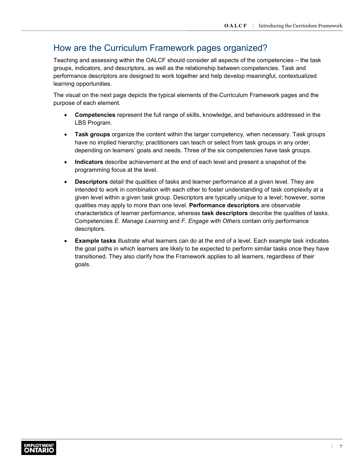# How are the Curriculum Framework pages organized?

Teaching and assessing within the OALCF should consider all aspects of the competencies – the task groups, indicators, and descriptors, as well as the relationship between competencies. Task and performance descriptors are designed to work together and help develop meaningful, contextualized learning opportunities.

The visual on the next page depicts the typical elements of the Curriculum Framework pages and the purpose of each element.

- **Competencies** represent the full range of skills, knowledge, and behaviours addressed in the LBS Program.
- **Task groups** organize the content within the larger competency, when necessary. Task groups have no implied hierarchy; practitioners can teach or select from task groups in any order, depending on learners' goals and needs. Three of the six competencies have task groups.
- **Indicators** describe achievement at the end of each level and present a snapshot of the programming focus at the level.
- **Descriptors** detail the qualities of tasks and learner performance at a given level. They are intended to work in combination with each other to foster understanding of task complexity at a given level within a given task group. Descriptors are typically unique to a level; however, some qualities may apply to more than one level. **Performance descriptors** are observable characteristics of learner performance, whereas **task descriptors** describe the qualities of tasks. Competencies *E. Manage Learning* and *F. Engage with Others* contain only performance descriptors.
- **Example tasks** illustrate what learners can do at the end of a level. Each example task indicates the goal paths in which learners are likely to be expected to perform similar tasks once they have transitioned. They also clarify how the Framework applies to all learners, regardless of their goals.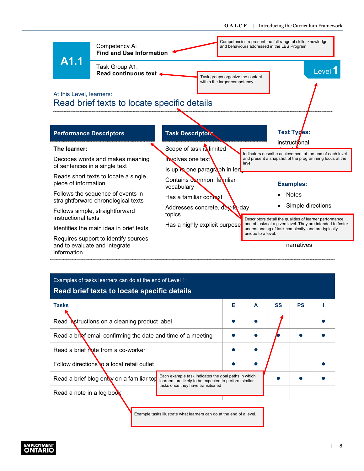

| Examples of tasks learners can do at the end of Level 1:<br>Read brief texts to locate specific details |                                                                                                              |   |           |           |  |  |
|---------------------------------------------------------------------------------------------------------|--------------------------------------------------------------------------------------------------------------|---|-----------|-----------|--|--|
| <b>Tasks</b>                                                                                            | Е                                                                                                            | A | <b>SS</b> | <b>PS</b> |  |  |
| Read instructions on a cleaning product label                                                           |                                                                                                              |   |           |           |  |  |
| Read a brief email confirming the date and time of a meeting                                            |                                                                                                              |   |           |           |  |  |
| Read a brief note from a co-worker                                                                      |                                                                                                              |   |           |           |  |  |
| Follow directions to a local retail outlet                                                              |                                                                                                              |   |           |           |  |  |
| Read a brief blog entry on a familiar top                                                               | Each example task indicates the goal paths in which<br>learners are likely to be expected to perform similar |   |           |           |  |  |
| Read a note in a log book                                                                               | tasks once they have transitioned                                                                            |   |           |           |  |  |
|                                                                                                         |                                                                                                              |   |           |           |  |  |

Example tasks illustrate what learners can do at the end of a level.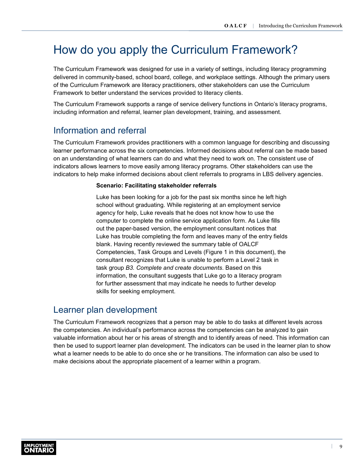# How do you apply the Curriculum Framework?

The Curriculum Framework was designed for use in a variety of settings, including literacy programming delivered in community-based, school board, college, and workplace settings. Although the primary users of the Curriculum Framework are literacy practitioners, other stakeholders can use the Curriculum Framework to better understand the services provided to literacy clients.

The Curriculum Framework supports a range of service delivery functions in Ontario's literacy programs, including information and referral, learner plan development, training, and assessment.

# Information and referral

The Curriculum Framework provides practitioners with a common language for describing and discussing learner performance across the six competencies. Informed decisions about referral can be made based on an understanding of what learners can do and what they need to work on. The consistent use of indicators allows learners to move easily among literacy programs. Other stakeholders can use the indicators to help make informed decisions about client referrals to programs in LBS delivery agencies.

### **Scenario: Facilitating stakeholder referrals**

Luke has been looking for a job for the past six months since he left high school without graduating. While registering at an employment service agency for help, Luke reveals that he does not know how to use the computer to complete the online service application form. As Luke fills out the paper-based version, the employment consultant notices that Luke has trouble completing the form and leaves many of the entry fields blank. Having recently reviewed the summary table of OALCF Competencies, Task Groups and Levels (Figure 1 in this document), the consultant recognizes that Luke is unable to perform a Level 2 task in task group *B3. Complete and create documents*. Based on this information, the consultant suggests that Luke go to a literacy program for further assessment that may indicate he needs to further develop skills for seeking employment.

### Learner plan development

The Curriculum Framework recognizes that a person may be able to do tasks at different levels across the competencies. An individual's performance across the competencies can be analyzed to gain valuable information about her or his areas of strength and to identify areas of need. This information can then be used to support learner plan development. The indicators can be used in the learner plan to show what a learner needs to be able to do once she or he transitions. The information can also be used to make decisions about the appropriate placement of a learner within a program.

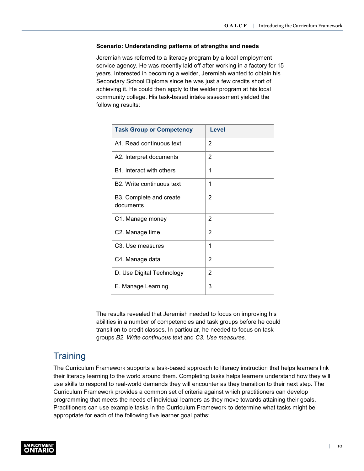#### **Scenario: Understanding patterns of strengths and needs**

Jeremiah was referred to a literacy program by a local employment service agency. He was recently laid off after working in a factory for 15 years. Interested in becoming a welder, Jeremiah wanted to obtain his Secondary School Diploma since he was just a few credits short of achieving it. He could then apply to the welder program at his local community college. His task-based intake assessment yielded the following results:

| <b>Task Group or Competency</b>        | Level |
|----------------------------------------|-------|
| A1. Read continuous text               | 2     |
| A2. Interpret documents                | 2     |
| B1. Interact with others               | 1     |
| B <sub>2</sub> . Write continuous text | 1     |
| B3. Complete and create<br>documents   | 2     |
| C1. Manage money                       | 2     |
| C2. Manage time                        | 2     |
| C <sub>3</sub> . Use measures          | 1     |
| C4. Manage data                        | 2     |
| D. Use Digital Technology              | 2     |
| E. Manage Learning                     | 3     |

The results revealed that Jeremiah needed to focus on improving his abilities in a number of competencies and task groups before he could transition to credit classes. In particular, he needed to focus on task groups *B2. Write continuous text* and *C3. Use measures.*

# **Training**

The Curriculum Framework supports a task-based approach to literacy instruction that helps learners link their literacy learning to the world around them. Completing tasks helps learners understand how they will use skills to respond to real-world demands they will encounter as they transition to their next step. The Curriculum Framework provides a common set of criteria against which practitioners can develop programming that meets the needs of individual learners as they move towards attaining their goals. Practitioners can use example tasks in the Curriculum Framework to determine what tasks might be appropriate for each of the following five learner goal paths: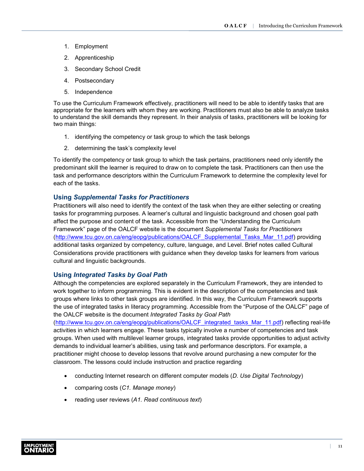- 1. Employment
- 2. Apprenticeship
- 3. Secondary School Credit
- 4. Postsecondary
- 5. Independence

To use the Curriculum Framework effectively, practitioners will need to be able to identify tasks that are appropriate for the learners with whom they are working. Practitioners must also be able to analyze tasks to understand the skill demands they represent. In their analysis of tasks, practitioners will be looking for two main things:

- 1. identifying the competency or task group to which the task belongs
- 2. determining the task's complexity level

To identify the competency or task group to which the task pertains, practitioners need only identify the predominant skill the learner is required to draw on to complete the task. Practitioners can then use the task and performance descriptors within the Curriculum Framework to determine the complexity level for each of the tasks.

### **Using** *Supplemental Tasks for Practitioners*

Practitioners will also need to identify the context of the task when they are either selecting or creating tasks for programming purposes. A learner's cultural and linguistic background and chosen goal path affect the purpose and content of the task. Accessible from the "Understanding the Curriculum Framework" page of the OALCF website is the document *Supplemental Tasks for Practitioners* [\(http://www.tcu.gov.on.ca/eng/eopg/publications/OALCF\\_Supplemental\\_Tasks\\_Mar\\_11.pdf](http://www.tcu.gov.on.ca/eng/eopg/publications/OALCF_Supplemental_Tasks_Mar_11.pdf)) providing additional tasks organized by competency, culture, language, and Level. Brief notes called Cultural Considerations provide practitioners with guidance when they develop tasks for learners from various cultural and linguistic backgrounds.

### **Using** *Integrated Tasks by Goal Path*

Although the competencies are explored separately in the Curriculum Framework, they are intended to work together to inform programming. This is evident in the description of the competencies and task groups where links to other task groups are identified. In this way, the Curriculum Framework supports the use of integrated tasks in literacy programming. Accessible from the "Purpose of the OALCF" page of the OALCF website is the document *Integrated Tasks by Goal Path*

[\(http://www.tcu.gov.on.ca/eng/eopg/publications/OALCF\\_integrated\\_tasks\\_Mar\\_11.pdf](http://www.tcu.gov.on.ca/eng/eopg/publications/OALCF_integrated_tasks_Mar_11.pdf)) reflecting real-life activities in which learners engage. These tasks typically involve a number of competencies and task groups. When used with multilevel learner groups, integrated tasks provide opportunities to adjust activity demands to individual learner's abilities, using task and performance descriptors. For example, a practitioner might choose to develop lessons that revolve around purchasing a new computer for the classroom. The lessons could include instruction and practice regarding

- conducting Internet research on different computer models (*D. Use Digital Technology*)
- comparing costs (*C1. Manage money*)
- reading user reviews (*A1. Read continuous text*)